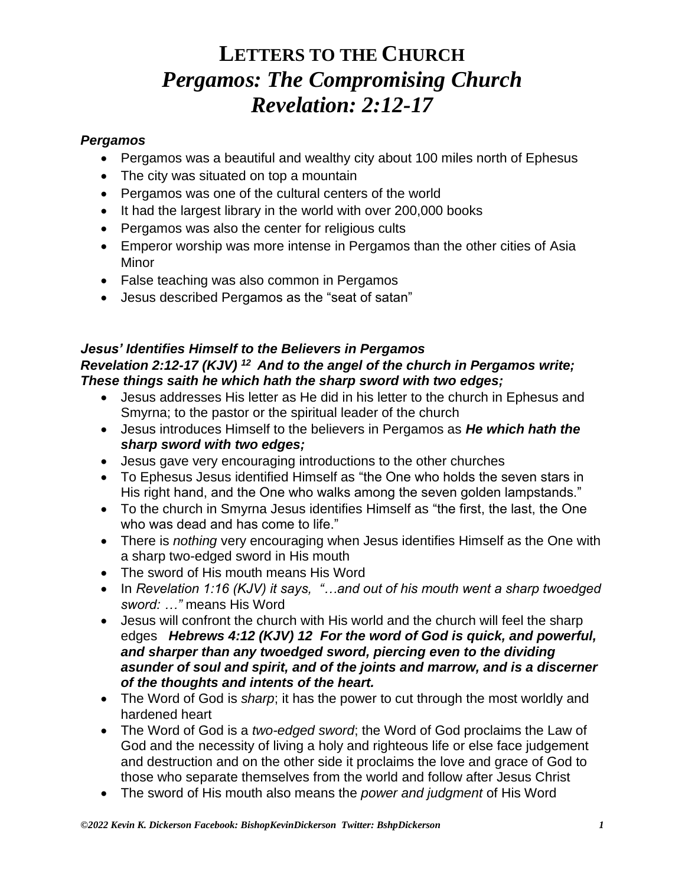#### *Pergamos*

- Pergamos was a beautiful and wealthy city about 100 miles north of Ephesus
- The city was situated on top a mountain
- Pergamos was one of the cultural centers of the world
- It had the largest library in the world with over 200,000 books
- Pergamos was also the center for religious cults
- Emperor worship was more intense in Pergamos than the other cities of Asia Minor
- False teaching was also common in Pergamos
- Jesus described Pergamos as the "seat of satan"

### *Jesus' Identifies Himself to the Believers in Pergamos Revelation 2:12-17 (KJV) <sup>12</sup>And to the angel of the church in Pergamos write; These things saith he which hath the sharp sword with two edges;*

- Jesus addresses His letter as He did in his letter to the church in Ephesus and Smyrna; to the pastor or the spiritual leader of the church
- Jesus introduces Himself to the believers in Pergamos as *He which hath the sharp sword with two edges;*
- Jesus gave very encouraging introductions to the other churches
- To Ephesus Jesus identified Himself as "the One who holds the seven stars in His right hand, and the One who walks among the seven golden lampstands."
- To the church in Smyrna Jesus identifies Himself as "the first, the last, the One who was dead and has come to life."
- There is *nothing* very encouraging when Jesus identifies Himself as the One with a sharp two-edged sword in His mouth
- The sword of His mouth means His Word
- In *Revelation 1:16 (KJV) it says, "…and out of his mouth went a sharp twoedged sword: …"* means His Word
- Jesus will confront the church with His world and the church will feel the sharp edges *Hebrews 4:12 (KJV) 12 For the word of God is quick, and powerful, and sharper than any twoedged sword, piercing even to the dividing asunder of soul and spirit, and of the joints and marrow, and is a discerner of the thoughts and intents of the heart.*
- The Word of God is *sharp*; it has the power to cut through the most worldly and hardened heart
- The Word of God is a *two-edged sword*; the Word of God proclaims the Law of God and the necessity of living a holy and righteous life or else face judgement and destruction and on the other side it proclaims the love and grace of God to those who separate themselves from the world and follow after Jesus Christ
- The sword of His mouth also means the *power and judgment* of His Word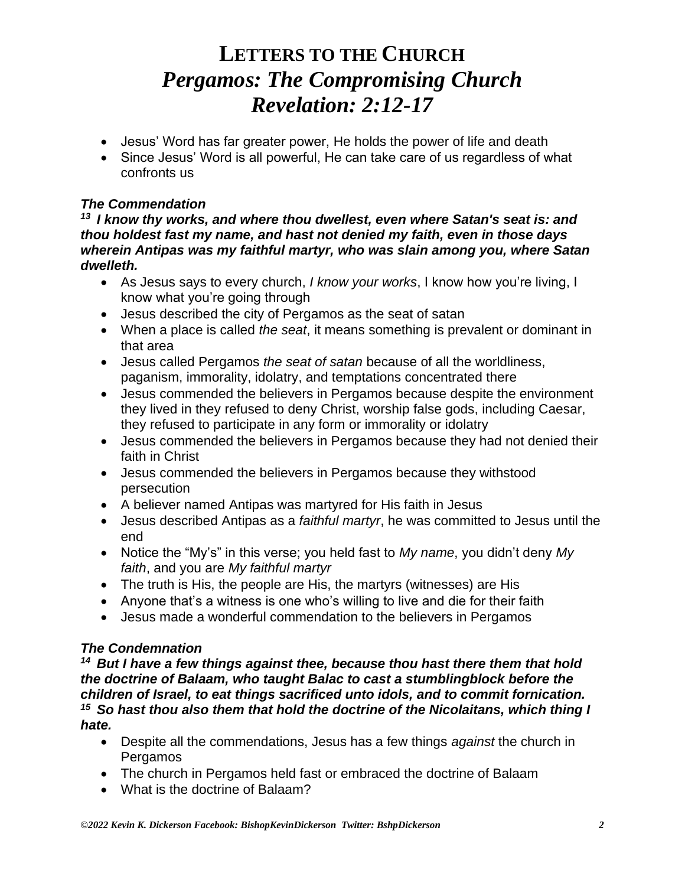- Jesus' Word has far greater power, He holds the power of life and death
- Since Jesus' Word is all powerful, He can take care of us regardless of what confronts us

### *The Commendation*

*<sup>13</sup>I know thy works, and where thou dwellest, even where Satan's seat is: and thou holdest fast my name, and hast not denied my faith, even in those days wherein Antipas was my faithful martyr, who was slain among you, where Satan dwelleth.* 

- As Jesus says to every church, *I know your works*, I know how you're living, I know what you're going through
- Jesus described the city of Pergamos as the seat of satan
- When a place is called *the seat*, it means something is prevalent or dominant in that area
- Jesus called Pergamos *the seat of satan* because of all the worldliness, paganism, immorality, idolatry, and temptations concentrated there
- Jesus commended the believers in Pergamos because despite the environment they lived in they refused to deny Christ, worship false gods, including Caesar, they refused to participate in any form or immorality or idolatry
- Jesus commended the believers in Pergamos because they had not denied their faith in Christ
- Jesus commended the believers in Pergamos because they withstood persecution
- A believer named Antipas was martyred for His faith in Jesus
- Jesus described Antipas as a *faithful martyr*, he was committed to Jesus until the end
- Notice the "My's" in this verse; you held fast to *My name*, you didn't deny *My faith*, and you are *My faithful martyr*
- The truth is His, the people are His, the martyrs (witnesses) are His
- Anyone that's a witness is one who's willing to live and die for their faith
- Jesus made a wonderful commendation to the believers in Pergamos

### *The Condemnation*

*<sup>14</sup>But I have a few things against thee, because thou hast there them that hold the doctrine of Balaam, who taught Balac to cast a stumblingblock before the children of Israel, to eat things sacrificed unto idols, and to commit fornication. <sup>15</sup>So hast thou also them that hold the doctrine of the Nicolaitans, which thing I hate.* 

- Despite all the commendations, Jesus has a few things *against* the church in Pergamos
- The church in Pergamos held fast or embraced the doctrine of Balaam
- What is the doctrine of Balaam?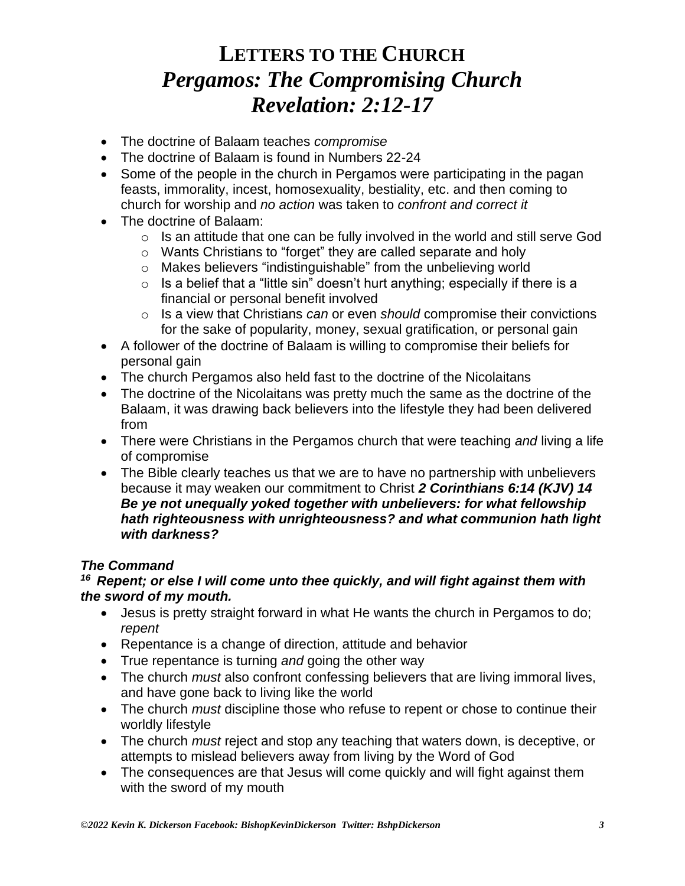- The doctrine of Balaam teaches *compromise*
- The doctrine of Balaam is found in Numbers 22-24
- Some of the people in the church in Pergamos were participating in the pagan feasts, immorality, incest, homosexuality, bestiality, etc. and then coming to church for worship and *no action* was taken to *confront and correct it*
- The doctrine of Balaam:
	- $\circ$  Is an attitude that one can be fully involved in the world and still serve God
	- o Wants Christians to "forget" they are called separate and holy
	- o Makes believers "indistinguishable" from the unbelieving world
	- $\circ$  Is a belief that a "little sin" doesn't hurt anything; especially if there is a financial or personal benefit involved
	- o Is a view that Christians *can* or even *should* compromise their convictions for the sake of popularity, money, sexual gratification, or personal gain
- A follower of the doctrine of Balaam is willing to compromise their beliefs for personal gain
- The church Pergamos also held fast to the doctrine of the Nicolaitans
- The doctrine of the Nicolaitans was pretty much the same as the doctrine of the Balaam, it was drawing back believers into the lifestyle they had been delivered from
- There were Christians in the Pergamos church that were teaching *and* living a life of compromise
- The Bible clearly teaches us that we are to have no partnership with unbelievers because it may weaken our commitment to Christ *2 Corinthians 6:14 (KJV) 14 Be ye not unequally yoked together with unbelievers: for what fellowship hath righteousness with unrighteousness? and what communion hath light with darkness?*

### *The Command*

#### *<sup>16</sup>Repent; or else I will come unto thee quickly, and will fight against them with the sword of my mouth.*

- Jesus is pretty straight forward in what He wants the church in Pergamos to do; *repent*
- Repentance is a change of direction, attitude and behavior
- True repentance is turning *and* going the other way
- The church *must* also confront confessing believers that are living immoral lives, and have gone back to living like the world
- The church *must* discipline those who refuse to repent or chose to continue their worldly lifestyle
- The church *must* reject and stop any teaching that waters down, is deceptive, or attempts to mislead believers away from living by the Word of God
- The consequences are that Jesus will come quickly and will fight against them with the sword of my mouth